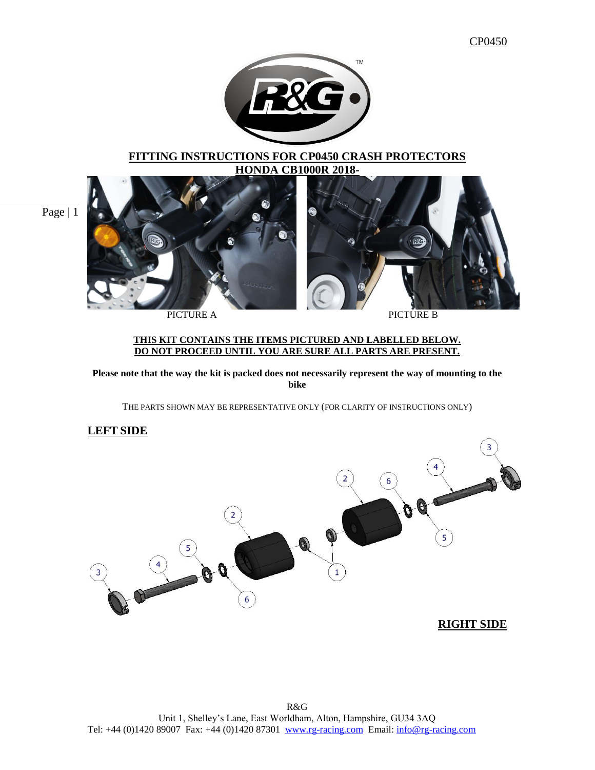

## **FITTING INSTRUCTIONS FOR CP0450 CRASH PROTECTORS HONDA CB1000R 2018-**

Page | 1



PICTURE A PICTURE B

### **THIS KIT CONTAINS THE ITEMS PICTURED AND LABELLED BELOW. DO NOT PROCEED UNTIL YOU ARE SURE ALL PARTS ARE PRESENT.**

**Please note that the way the kit is packed does not necessarily represent the way of mounting to the bike**

THE PARTS SHOWN MAY BE REPRESENTATIVE ONLY (FOR CLARITY OF INSTRUCTIONS ONLY)

## **LEFT SIDE**

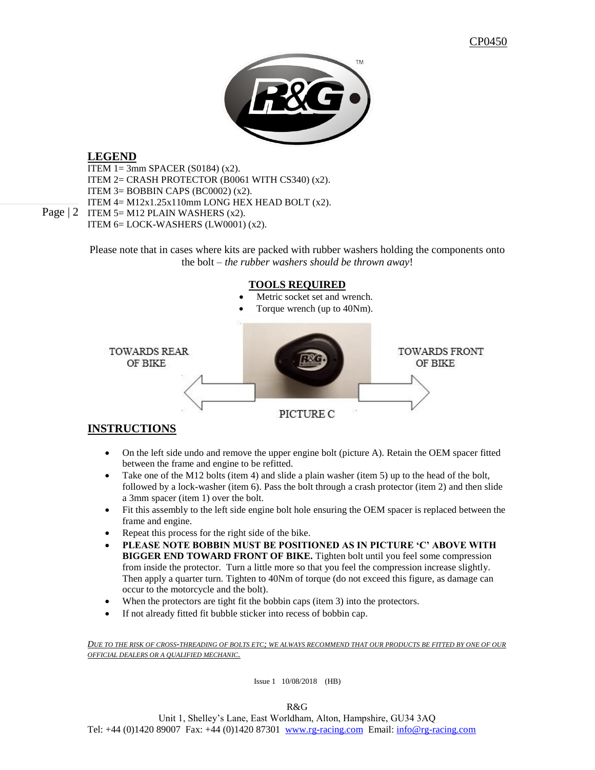

## **LEGEND**

Page  $|2$  ITEM 5= M12 PLAIN WASHERS (x2). ITEM 1= 3mm SPACER (S0184) (x2). ITEM 2= CRASH PROTECTOR (B0061 WITH CS340) (x2). ITEM  $3=$  BOBBIN CAPS (BC0002) (x2). ITEM  $4 = M12x1.25x110mm$  LONG HEX HEAD BOLT  $(x2)$ . ITEM 6= LOCK-WASHERS (LW0001) (x2).

Please note that in cases where kits are packed with rubber washers holding the components onto the bolt – *the rubber washers should be thrown away*!



## **INSTRUCTIONS**

- On the left side undo and remove the upper engine bolt (picture A). Retain the OEM spacer fitted between the frame and engine to be refitted.
- Take one of the M12 bolts (item 4) and slide a plain washer (item 5) up to the head of the bolt, followed by a lock-washer (item 6). Pass the bolt through a crash protector (item 2) and then slide a 3mm spacer (item 1) over the bolt.
- Fit this assembly to the left side engine bolt hole ensuring the OEM spacer is replaced between the frame and engine.
- Repeat this process for the right side of the bike.
- **PLEASE NOTE BOBBIN MUST BE POSITIONED AS IN PICTURE 'C' ABOVE WITH BIGGER END TOWARD FRONT OF BIKE.** Tighten bolt until you feel some compression from inside the protector. Turn a little more so that you feel the compression increase slightly. Then apply a quarter turn. Tighten to 40Nm of torque (do not exceed this figure, as damage can occur to the motorcycle and the bolt).
- When the protectors are tight fit the bobbin caps (item 3) into the protectors.
- If not already fitted fit bubble sticker into recess of bobbin cap.

*DUE TO THE RISK OF CROSS-THREADING OF BOLTS ETC; WE ALWAYS RECOMMEND THAT OUR PRODUCTS BE FITTED BY ONE OF OUR OFFICIAL DEALERS OR A QUALIFIED MECHANIC.*

Issue 1 10/08/2018 (HB)

R&G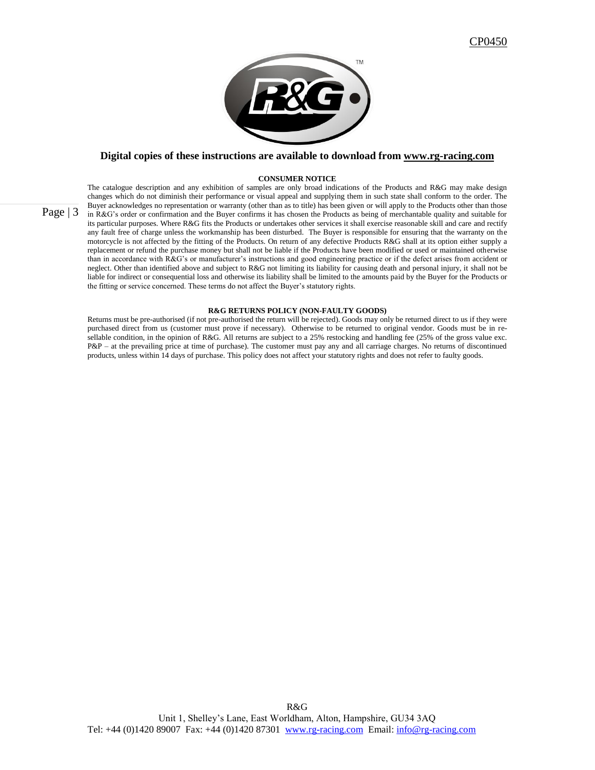

### **Digital copies of these instructions are available to download from [www.rg-racing.com](http://www.rg-racing.com/)**

#### **CONSUMER NOTICE**

The catalogue description and any exhibition of samples are only broad indications of the Products and R&G may make design changes which do not diminish their performance or visual appeal and supplying them in such state shall conform to the order. The Buyer acknowledges no representation or warranty (other than as to title) has been given or will apply to the Products other than those in R&G's order or confirmation and the Buyer confirms it has chosen the Products as being of merchantable quality and suitable for its particular purposes. Where R&G fits the Products or undertakes other services it shall exercise reasonable skill and care and rectify any fault free of charge unless the workmanship has been disturbed. The Buyer is responsible for ensuring that the warranty on the motorcycle is not affected by the fitting of the Products. On return of any defective Products R&G shall at its option either supply a replacement or refund the purchase money but shall not be liable if the Products have been modified or used or maintained otherwise than in accordance with R&G's or manufacturer's instructions and good engineering practice or if the defect arises from accident or neglect. Other than identified above and subject to R&G not limiting its liability for causing death and personal injury, it shall not be liable for indirect or consequential loss and otherwise its liability shall be limited to the amounts paid by the Buyer for the Products or the fitting or service concerned. These terms do not affect the Buyer's statutory rights.

### **R&G RETURNS POLICY (NON-FAULTY GOODS)**

Returns must be pre-authorised (if not pre-authorised the return will be rejected). Goods may only be returned direct to us if they were purchased direct from us (customer must prove if necessary). Otherwise to be returned to original vendor. Goods must be in resellable condition, in the opinion of R&G. All returns are subject to a 25% restocking and handling fee (25% of the gross value exc. P&P – at the prevailing price at time of purchase). The customer must pay any and all carriage charges. No returns of discontinued products, unless within 14 days of purchase. This policy does not affect your statutory rights and does not refer to faulty goods.

Page  $|3|$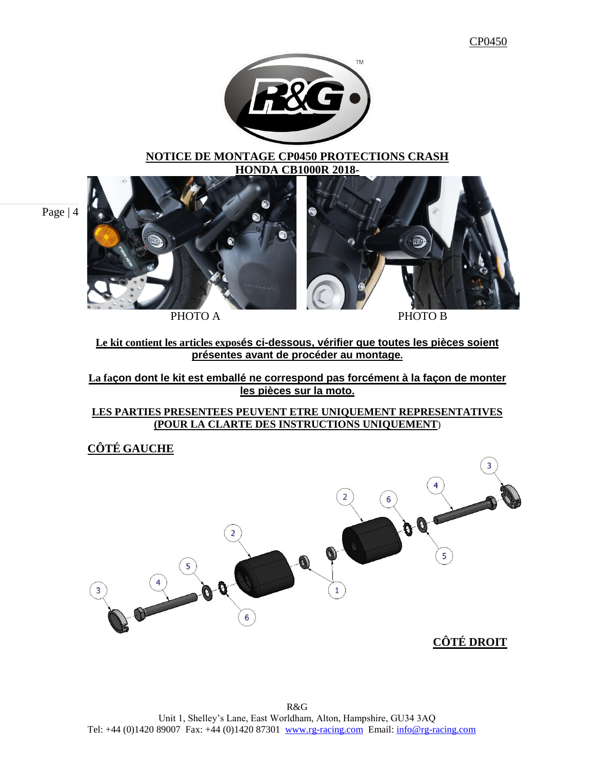

### **NOTICE DE MONTAGE CP0450 PROTECTIONS CRASH HONDA CB1000R 2018-**

Page | 4



**Le kit contient les articles exposés ci-dessous, vérifier que toutes les pièces soient présentes avant de procéder au montage.**

**La façon dont le kit est emballé ne correspond pas forcément à la façon de monter les pièces sur la moto.**

**LES PARTIES PRESENTEES PEUVENT ETRE UNIQUEMENT REPRESENTATIVES (POUR LA CLARTE DES INSTRUCTIONS UNIQUEMENT**)

**CÔTÉ GAUCHE**

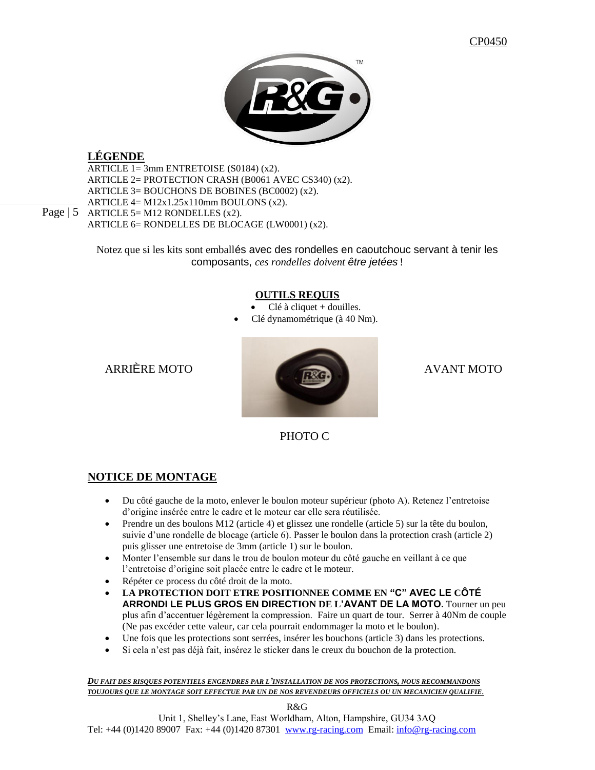

# **LÉGENDE**

ARTICLE 1= 3mm ENTRETOISE (S0184) (x2). ARTICLE 2= PROTECTION CRASH (B0061 AVEC CS340) (x2). ARTICLE 3= BOUCHONS DE BOBINES (BC0002) (x2). ARTICLE 4= M12x1.25x110mm BOULONS (x2). ARTICLE 5= M12 RONDELLES (x2). ARTICLE 6= RONDELLES DE BLOCAGE (LW0001) (x2).

Notez que si les kits sont emballés avec des rondelles en caoutchouc servant à tenir les composants, *ces rondelles doivent être jetées* !

## **OUTILS REQUIS**

Clé à cliquet + douilles.

Clé dynamométrique (à 40 Nm).



# PHOTO C

# **NOTICE DE MONTAGE**

- Du côté gauche de la moto, enlever le boulon moteur supérieur (photo A). Retenez l'entretoise d'origine insérée entre le cadre et le moteur car elle sera réutilisée.
- Prendre un des boulons M12 (article 4) et glissez une rondelle (article 5) sur la tête du boulon, suivie d'une rondelle de blocage (article 6). Passer le boulon dans la protection crash (article 2) puis glisser une entretoise de 3mm (article 1) sur le boulon.
- Monter l'ensemble sur dans le trou de boulon moteur du côté gauche en veillant à ce que l'entretoise d'origine soit placée entre le cadre et le moteur.
- Répéter ce process du côté droit de la moto.
- **LA PROTECTION DOIT ETRE POSITIONNEE COMME EN "C" AVEC LE CÔTÉ ARRONDI LE PLUS GROS EN DIRECTION DE L'AVANT DE LA MOTO.** Tourner un peu plus afin d'accentuer légèrement la compression. Faire un quart de tour. Serrer à 40Nm de couple (Ne pas excéder cette valeur, car cela pourrait endommager la moto et le boulon).
- Une fois que les protections sont serrées, insérer les bouchons (article 3) dans les protections.
- Si cela n'est pas déjà fait, insérez le sticker dans le creux du bouchon de la protection.

*DU FAIT DES RISQUES POTENTIELS ENGENDRES PAR L'INSTALLATION DE NOS PROTECTIONS, NOUS RECOMMANDONS TOUJOURS QUE LE MONTAGE SOIT EFFECTUE PAR UN DE NOS REVENDEURS OFFICIELS OU UN MECANICIEN QUALIFIE.*

R&G

Page  $\vert 5 \vert$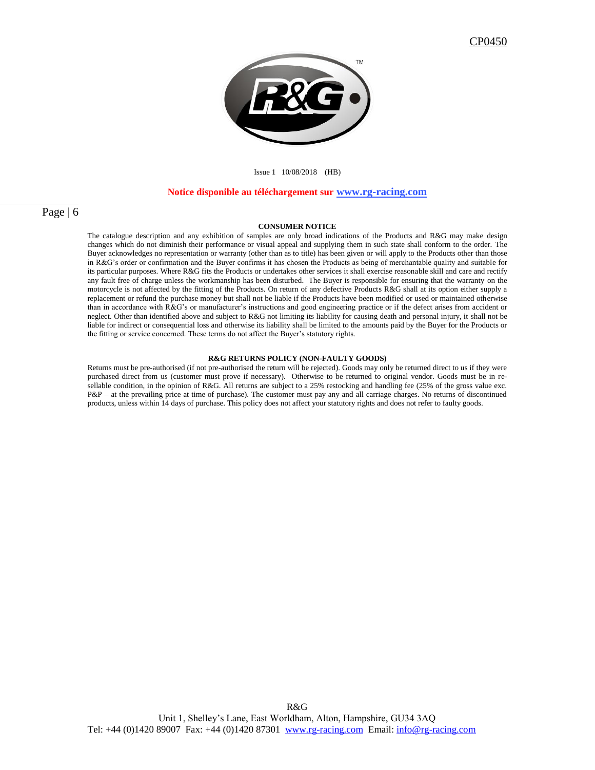

### Issue 1 10/08/2018 (HB)

#### **Notice disponible au téléchargement sur [www.rg-racing.com](http://www.rg-racing.com/)**

### Page | 6

### **CONSUMER NOTICE**

The catalogue description and any exhibition of samples are only broad indications of the Products and R&G may make design changes which do not diminish their performance or visual appeal and supplying them in such state shall conform to the order. The Buyer acknowledges no representation or warranty (other than as to title) has been given or will apply to the Products other than those in R&G's order or confirmation and the Buyer confirms it has chosen the Products as being of merchantable quality and suitable for its particular purposes. Where R&G fits the Products or undertakes other services it shall exercise reasonable skill and care and rectify any fault free of charge unless the workmanship has been disturbed. The Buyer is responsible for ensuring that the warranty on the motorcycle is not affected by the fitting of the Products. On return of any defective Products R&G shall at its option either supply a replacement or refund the purchase money but shall not be liable if the Products have been modified or used or maintained otherwise than in accordance with R&G's or manufacturer's instructions and good engineering practice or if the defect arises from accident or neglect. Other than identified above and subject to R&G not limiting its liability for causing death and personal injury, it shall not be liable for indirect or consequential loss and otherwise its liability shall be limited to the amounts paid by the Buyer for the Products or the fitting or service concerned. These terms do not affect the Buyer's statutory rights.

#### **R&G RETURNS POLICY (NON-FAULTY GOODS)**

Returns must be pre-authorised (if not pre-authorised the return will be rejected). Goods may only be returned direct to us if they were purchased direct from us (customer must prove if necessary). Otherwise to be returned to original vendor. Goods must be in resellable condition, in the opinion of R&G. All returns are subject to a 25% restocking and handling fee (25% of the gross value exc. P&P – at the prevailing price at time of purchase). The customer must pay any and all carriage charges. No returns of discontinued products, unless within 14 days of purchase. This policy does not affect your statutory rights and does not refer to faulty goods.